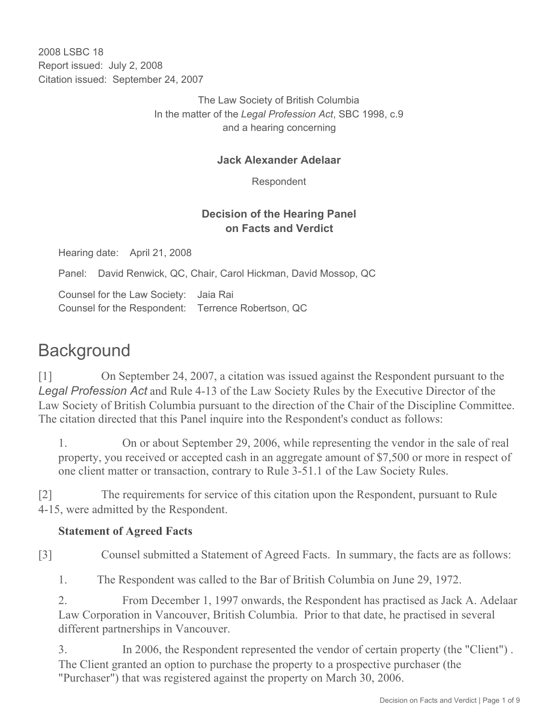2008 LSBC 18 Report issued: July 2, 2008 Citation issued: September 24, 2007

> The Law Society of British Columbia In the matter of the *Legal Profession Act*, SBC 1998, c.9 and a hearing concerning

#### **Jack Alexander Adelaar**

Respondent

#### **Decision of the Hearing Panel on Facts and Verdict**

Hearing date: April 21, 2008

Panel: David Renwick, QC, Chair, Carol Hickman, David Mossop, QC

Counsel for the Law Society: Jaia Rai Counsel for the Respondent: Terrence Robertson, QC

# **Background**

[1] On September 24, 2007, a citation was issued against the Respondent pursuant to the *Legal Profession Act* and Rule 4-13 of the Law Society Rules by the Executive Director of the Law Society of British Columbia pursuant to the direction of the Chair of the Discipline Committee. The citation directed that this Panel inquire into the Respondent's conduct as follows:

1. On or about September 29, 2006, while representing the vendor in the sale of real property, you received or accepted cash in an aggregate amount of \$7,500 or more in respect of one client matter or transaction, contrary to Rule 3-51.1 of the Law Society Rules.

[2] The requirements for service of this citation upon the Respondent, pursuant to Rule 4-15, were admitted by the Respondent.

#### **Statement of Agreed Facts**

[3] Counsel submitted a Statement of Agreed Facts. In summary, the facts are as follows:

1. The Respondent was called to the Bar of British Columbia on June 29, 1972.

2. From December 1, 1997 onwards, the Respondent has practised as Jack A. Adelaar Law Corporation in Vancouver, British Columbia. Prior to that date, he practised in several different partnerships in Vancouver.

3. In 2006, the Respondent represented the vendor of certain property (the "Client") . The Client granted an option to purchase the property to a prospective purchaser (the "Purchaser") that was registered against the property on March 30, 2006.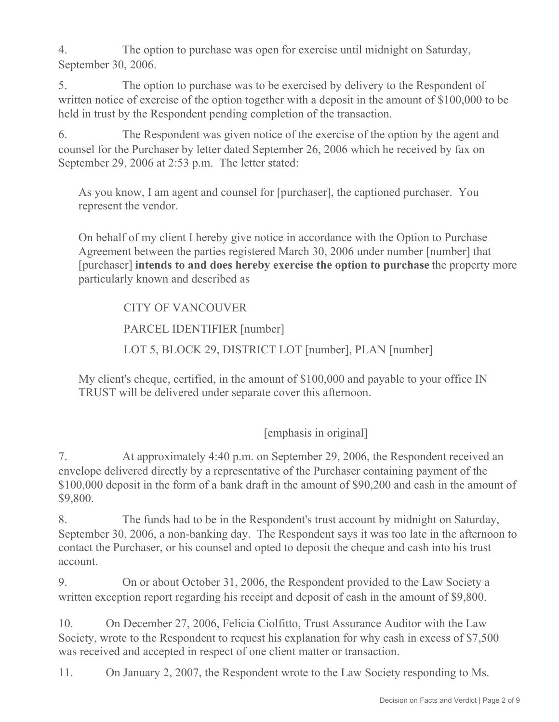4. The option to purchase was open for exercise until midnight on Saturday, September 30, 2006.

5. The option to purchase was to be exercised by delivery to the Respondent of written notice of exercise of the option together with a deposit in the amount of \$100,000 to be held in trust by the Respondent pending completion of the transaction.

6. The Respondent was given notice of the exercise of the option by the agent and counsel for the Purchaser by letter dated September 26, 2006 which he received by fax on September 29, 2006 at 2:53 p.m. The letter stated:

As you know, I am agent and counsel for [purchaser], the captioned purchaser. You represent the vendor.

On behalf of my client I hereby give notice in accordance with the Option to Purchase Agreement between the parties registered March 30, 2006 under number [number] that [purchaser] **intends to and does hereby exercise the option to purchase** the property more particularly known and described as

## CITY OF VANCOUVER

PARCEL IDENTIFIER [number]

LOT 5, BLOCK 29, DISTRICT LOT [number], PLAN [number]

My client's cheque, certified, in the amount of \$100,000 and payable to your office IN TRUST will be delivered under separate cover this afternoon.

[emphasis in original]

7. At approximately 4:40 p.m. on September 29, 2006, the Respondent received an envelope delivered directly by a representative of the Purchaser containing payment of the \$100,000 deposit in the form of a bank draft in the amount of \$90,200 and cash in the amount of \$9,800.

8. The funds had to be in the Respondent's trust account by midnight on Saturday, September 30, 2006, a non-banking day. The Respondent says it was too late in the afternoon to contact the Purchaser, or his counsel and opted to deposit the cheque and cash into his trust account.

9. On or about October 31, 2006, the Respondent provided to the Law Society a written exception report regarding his receipt and deposit of cash in the amount of \$9,800.

10. On December 27, 2006, Felicia Ciolfitto, Trust Assurance Auditor with the Law Society, wrote to the Respondent to request his explanation for why cash in excess of \$7,500 was received and accepted in respect of one client matter or transaction.

11. On January 2, 2007, the Respondent wrote to the Law Society responding to Ms.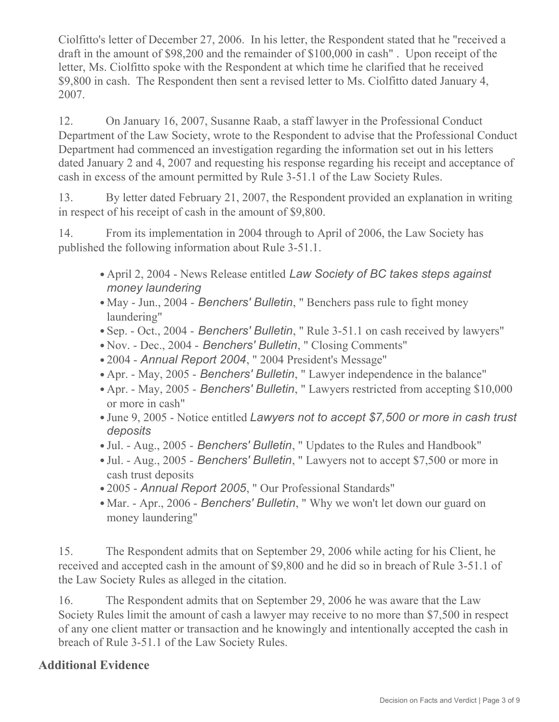Ciolfitto's letter of December 27, 2006. In his letter, the Respondent stated that he "received a draft in the amount of \$98,200 and the remainder of \$100,000 in cash" . Upon receipt of the letter, Ms. Ciolfitto spoke with the Respondent at which time he clarified that he received \$9,800 in cash. The Respondent then sent a revised letter to Ms. Ciolfitto dated January 4, 2007.

12. On January 16, 2007, Susanne Raab, a staff lawyer in the Professional Conduct Department of the Law Society, wrote to the Respondent to advise that the Professional Conduct Department had commenced an investigation regarding the information set out in his letters dated January 2 and 4, 2007 and requesting his response regarding his receipt and acceptance of cash in excess of the amount permitted by Rule 3-51.1 of the Law Society Rules.

13. By letter dated February 21, 2007, the Respondent provided an explanation in writing in respect of his receipt of cash in the amount of \$9,800.

14. From its implementation in 2004 through to April of 2006, the Law Society has published the following information about Rule 3-51.1.

- April 2, 2004 News Release entitled *Law Society of BC takes steps against money laundering*
- May Jun., 2004 *Benchers' Bulletin*, " Benchers pass rule to fight money laundering"
- Sep. Oct., 2004 *Benchers' Bulletin*, " Rule 3-51.1 on cash received by lawyers"
- Nov. Dec., 2004 *Benchers' Bulletin*, " Closing Comments"
- 2004 *Annual Report 2004*, " 2004 President's Message"
- Apr. May, 2005 *Benchers' Bulletin*, " Lawyer independence in the balance"
- Apr. May, 2005 *Benchers' Bulletin*, " Lawyers restricted from accepting \$10,000 or more in cash"
- June 9, 2005 Notice entitled *Lawyers not to accept \$7,500 or more in cash trust deposits*
- Jul. Aug., 2005 *Benchers' Bulletin*, " Updates to the Rules and Handbook"
- Jul. Aug., 2005 *Benchers' Bulletin*, " Lawyers not to accept \$7,500 or more in cash trust deposits
- 2005 *Annual Report 2005*, " Our Professional Standards"
- Mar. Apr., 2006 *Benchers' Bulletin*, " Why we won't let down our guard on money laundering"

15. The Respondent admits that on September 29, 2006 while acting for his Client, he received and accepted cash in the amount of \$9,800 and he did so in breach of Rule 3-51.1 of the Law Society Rules as alleged in the citation.

16. The Respondent admits that on September 29, 2006 he was aware that the Law Society Rules limit the amount of cash a lawyer may receive to no more than \$7,500 in respect of any one client matter or transaction and he knowingly and intentionally accepted the cash in breach of Rule 3-51.1 of the Law Society Rules.

# **Additional Evidence**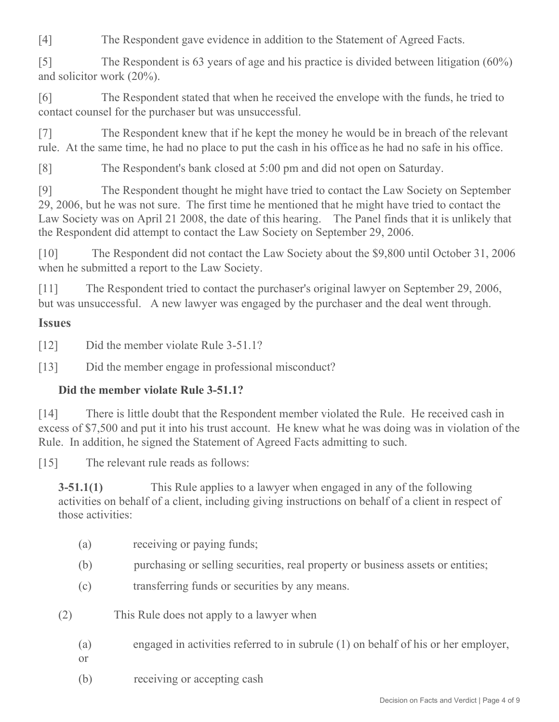[4] The Respondent gave evidence in addition to the Statement of Agreed Facts.

[5] The Respondent is 63 years of age and his practice is divided between litigation (60%) and solicitor work (20%).

[6] The Respondent stated that when he received the envelope with the funds, he tried to contact counsel for the purchaser but was unsuccessful.

[7] The Respondent knew that if he kept the money he would be in breach of the relevant rule. At the same time, he had no place to put the cash in his office as he had no safe in his office.

[8] The Respondent's bank closed at 5:00 pm and did not open on Saturday.

[9] The Respondent thought he might have tried to contact the Law Society on September 29, 2006, but he was not sure. The first time he mentioned that he might have tried to contact the Law Society was on April 21 2008, the date of this hearing. The Panel finds that it is unlikely that the Respondent did attempt to contact the Law Society on September 29, 2006.

[10] The Respondent did not contact the Law Society about the \$9,800 until October 31, 2006 when he submitted a report to the Law Society.

[11] The Respondent tried to contact the purchaser's original lawyer on September 29, 2006, but was unsuccessful. A new lawyer was engaged by the purchaser and the deal went through.

# **Issues**

[12] Did the member violate Rule 3-51.1?

[13] Did the member engage in professional misconduct?

## **Did the member violate Rule 3-51.1?**

[14] There is little doubt that the Respondent member violated the Rule. He received cash in excess of \$7,500 and put it into his trust account. He knew what he was doing was in violation of the Rule. In addition, he signed the Statement of Agreed Facts admitting to such.

[15] The relevant rule reads as follows:

**3-51.1(1)** This Rule applies to a lawyer when engaged in any of the following activities on behalf of a client, including giving instructions on behalf of a client in respect of those activities:

- (a) receiving or paying funds;
- (b) purchasing or selling securities, real property or business assets or entities;
- (c) transferring funds or securities by any means.
- (2) This Rule does not apply to a lawyer when
	- (a) engaged in activities referred to in subrule (1) on behalf of his or her employer,
	- or
	- (b) receiving or accepting cash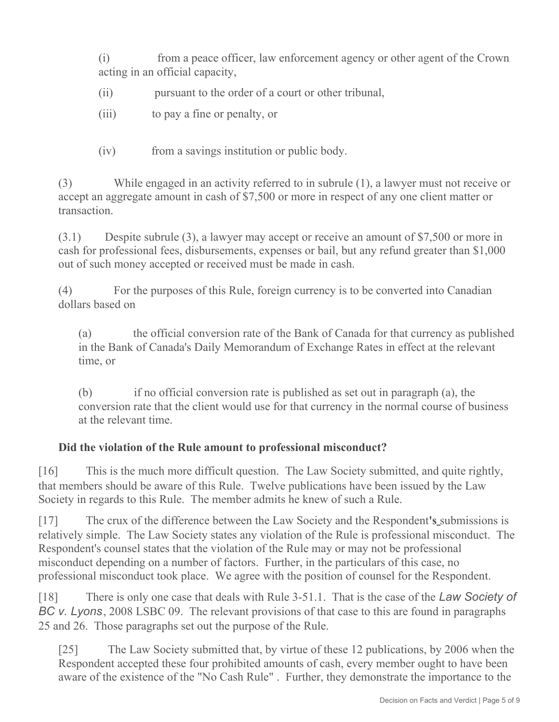(i) from a peace officer, law enforcement agency or other agent of the Crown acting in an official capacity,

- (ii) bursuant to the order of a court or other tribunal,
- (iii) to pay a fine or penalty, or
- (iv) from a savings institution or public body.

(3) While engaged in an activity referred to in subrule (1), a lawyer must not receive or accept an aggregate amount in cash of \$7,500 or more in respect of any one client matter or transaction.

(3.1) Despite subrule (3), a lawyer may accept or receive an amount of \$7,500 or more in cash for professional fees, disbursements, expenses or bail, but any refund greater than \$1,000 out of such money accepted or received must be made in cash.

(4) For the purposes of this Rule, foreign currency is to be converted into Canadian dollars based on

(a) the official conversion rate of the Bank of Canada for that currency as published in the Bank of Canada's Daily Memorandum of Exchange Rates in effect at the relevant time, or

(b) if no official conversion rate is published as set out in paragraph (a), the conversion rate that the client would use for that currency in the normal course of business at the relevant time.

#### **Did the violation of the Rule amount to professional misconduct?**

[16] This is the much more difficult question. The Law Society submitted, and quite rightly, that members should be aware of this Rule. Twelve publications have been issued by the Law Society in regards to this Rule. The member admits he knew of such a Rule.

[17] The crux of the difference between the Law Society and the Respondent**'s** submissions is relatively simple. The Law Society states any violation of the Rule is professional misconduct. The Respondent's counsel states that the violation of the Rule may or may not be professional misconduct depending on a number of factors. Further, in the particulars of this case, no professional misconduct took place. We agree with the position of counsel for the Respondent.

[18] There is only one case that deals with Rule 3-51.1. That is the case of the *Law Society of BC v. Lyons*, 2008 LSBC 09. The relevant provisions of that case to this are found in paragraphs 25 and 26. Those paragraphs set out the purpose of the Rule.

[25] The Law Society submitted that, by virtue of these 12 publications, by 2006 when the Respondent accepted these four prohibited amounts of cash, every member ought to have been aware of the existence of the "No Cash Rule" . Further, they demonstrate the importance to the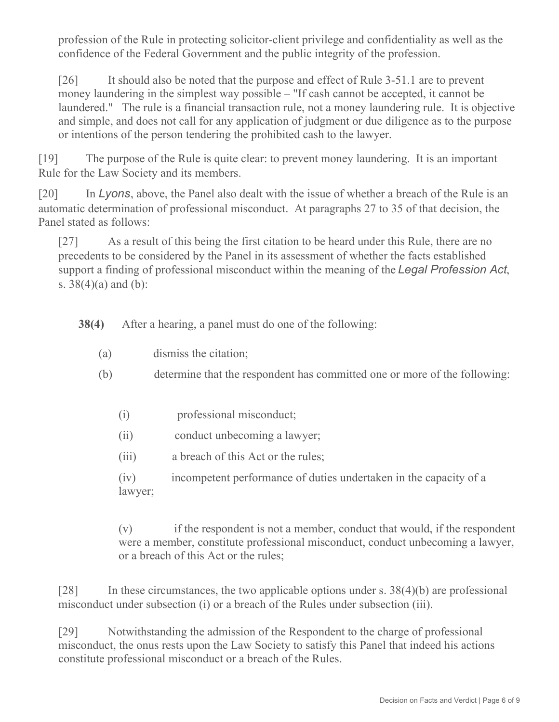profession of the Rule in protecting solicitor-client privilege and confidentiality as well as the confidence of the Federal Government and the public integrity of the profession.

[26] It should also be noted that the purpose and effect of Rule 3-51.1 are to prevent money laundering in the simplest way possible – "If cash cannot be accepted, it cannot be laundered." The rule is a financial transaction rule, not a money laundering rule. It is objective and simple, and does not call for any application of judgment or due diligence as to the purpose or intentions of the person tendering the prohibited cash to the lawyer.

[19] The purpose of the Rule is quite clear: to prevent money laundering. It is an important Rule for the Law Society and its members.

[20] In *Lyons*, above, the Panel also dealt with the issue of whether a breach of the Rule is an automatic determination of professional misconduct. At paragraphs 27 to 35 of that decision, the Panel stated as follows:

[27] As a result of this being the first citation to be heard under this Rule, there are no precedents to be considered by the Panel in its assessment of whether the facts established support a finding of professional misconduct within the meaning of the *Legal Profession Act*, s. 38(4)(a) and (b):

**38(4)** After a hearing, a panel must do one of the following:

- (a) dismiss the citation;
- (b) determine that the respondent has committed one or more of the following:
	- (i) professional misconduct;
	- (ii) conduct unbecoming a lawyer;
	- (iii) a breach of this Act or the rules;

(iv) incompetent performance of duties undertaken in the capacity of a lawyer;

(v) if the respondent is not a member, conduct that would, if the respondent were a member, constitute professional misconduct, conduct unbecoming a lawyer, or a breach of this Act or the rules;

[28] In these circumstances, the two applicable options under s.  $38(4)(b)$  are professional misconduct under subsection (i) or a breach of the Rules under subsection (iii).

[29] Notwithstanding the admission of the Respondent to the charge of professional misconduct, the onus rests upon the Law Society to satisfy this Panel that indeed his actions constitute professional misconduct or a breach of the Rules.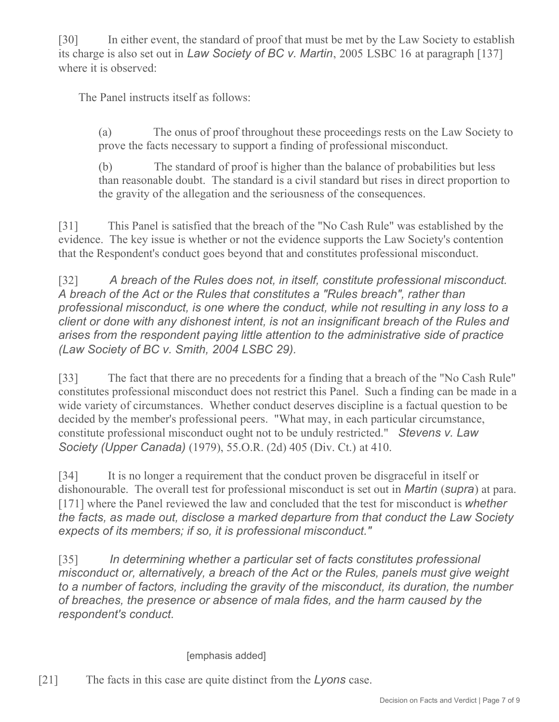[30] In either event, the standard of proof that must be met by the Law Society to establish its charge is also set out in *Law Society of BC v. Martin*, 2005 LSBC 16 at paragraph [137] where it is observed:

The Panel instructs itself as follows:

(a) The onus of proof throughout these proceedings rests on the Law Society to prove the facts necessary to support a finding of professional misconduct.

(b) The standard of proof is higher than the balance of probabilities but less than reasonable doubt. The standard is a civil standard but rises in direct proportion to the gravity of the allegation and the seriousness of the consequences.

[31] This Panel is satisfied that the breach of the "No Cash Rule" was established by the evidence. The key issue is whether or not the evidence supports the Law Society's contention that the Respondent's conduct goes beyond that and constitutes professional misconduct.

[32] A breach of the Rules does not, in itself, constitute professional misconduct. *A breach of the Act or the Rules that constitutes a "Rules breach", rather than professional misconduct, is one where the conduct, while not resulting in any loss to a client or done with any dishonest intent, is not an insignificant breach of the Rules and arises from the respondent paying little attention to the administrative side of practice (Law Society of BC v. Smith, 2004 LSBC 29).*

[33] The fact that there are no precedents for a finding that a breach of the "No Cash Rule" constitutes professional misconduct does not restrict this Panel. Such a finding can be made in a wide variety of circumstances. Whether conduct deserves discipline is a factual question to be decided by the member's professional peers. "What may, in each particular circumstance, constitute professional misconduct ought not to be unduly restricted." *Stevens v. Law Society (Upper Canada)* (1979), 55.O.R. (2d) 405 (Div. Ct.) at 410.

[34] It is no longer a requirement that the conduct proven be disgraceful in itself or dishonourable. The overall test for professional misconduct is set out in *Martin* (*supra*) at para. [171] where the Panel reviewed the law and concluded that the test for misconduct is *whether the facts, as made out, disclose a marked departure from that conduct the Law Society expects of its members; if so, it is professional misconduct."* 

[35] *In determining whether a particular set of facts constitutes professional misconduct or, alternatively, a breach of the Act or the Rules, panels must give weight to a number of factors, including the gravity of the misconduct, its duration, the number of breaches, the presence or absence of mala fides, and the harm caused by the respondent's conduct.*

#### [emphasis added]

[21] The facts in this case are quite distinct from the *Lyons* case.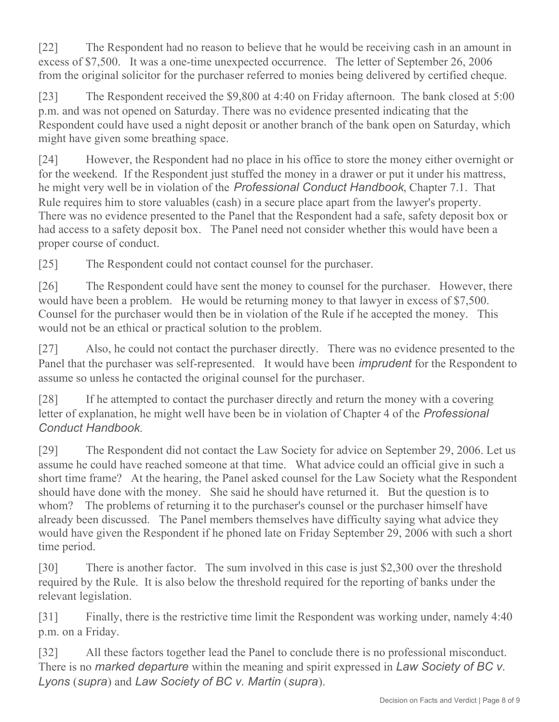[22] The Respondent had no reason to believe that he would be receiving cash in an amount in excess of \$7,500. It was a one-time unexpected occurrence. The letter of September 26, 2006 from the original solicitor for the purchaser referred to monies being delivered by certified cheque.

[23] The Respondent received the \$9,800 at 4:40 on Friday afternoon. The bank closed at 5:00 p.m. and was not opened on Saturday. There was no evidence presented indicating that the Respondent could have used a night deposit or another branch of the bank open on Saturday, which might have given some breathing space.

[24] However, the Respondent had no place in his office to store the money either overnight or for the weekend. If the Respondent just stuffed the money in a drawer or put it under his mattress, he might very well be in violation of the *Professional Conduct Handbook*, Chapter 7.1. That Rule requires him to store valuables (cash) in a secure place apart from the lawyer's property. There was no evidence presented to the Panel that the Respondent had a safe, safety deposit box or had access to a safety deposit box. The Panel need not consider whether this would have been a proper course of conduct.

[25] The Respondent could not contact counsel for the purchaser.

[26] The Respondent could have sent the money to counsel for the purchaser. However, there would have been a problem. He would be returning money to that lawyer in excess of \$7,500. Counsel for the purchaser would then be in violation of the Rule if he accepted the money. This would not be an ethical or practical solution to the problem.

[27] Also, he could not contact the purchaser directly. There was no evidence presented to the Panel that the purchaser was self-represented. It would have been *imprudent* for the Respondent to assume so unless he contacted the original counsel for the purchaser.

[28] If he attempted to contact the purchaser directly and return the money with a covering letter of explanation, he might well have been be in violation of Chapter 4 of the *Professional Conduct Handbook*.

[29] The Respondent did not contact the Law Society for advice on September 29, 2006. Let us assume he could have reached someone at that time. What advice could an official give in such a short time frame? At the hearing, the Panel asked counsel for the Law Society what the Respondent should have done with the money. She said he should have returned it. But the question is to whom? The problems of returning it to the purchaser's counsel or the purchaser himself have already been discussed. The Panel members themselves have difficulty saying what advice they would have given the Respondent if he phoned late on Friday September 29, 2006 with such a short time period.

[30] There is another factor. The sum involved in this case is just \$2,300 over the threshold required by the Rule. It is also below the threshold required for the reporting of banks under the relevant legislation.

[31] Finally, there is the restrictive time limit the Respondent was working under, namely 4:40 p.m. on a Friday.

[32] All these factors together lead the Panel to conclude there is no professional misconduct. There is no *marked departure* within the meaning and spirit expressed in *Law Society of BC v. Lyons* (*supra*) and *Law Society of BC v. Martin* (*supra*).